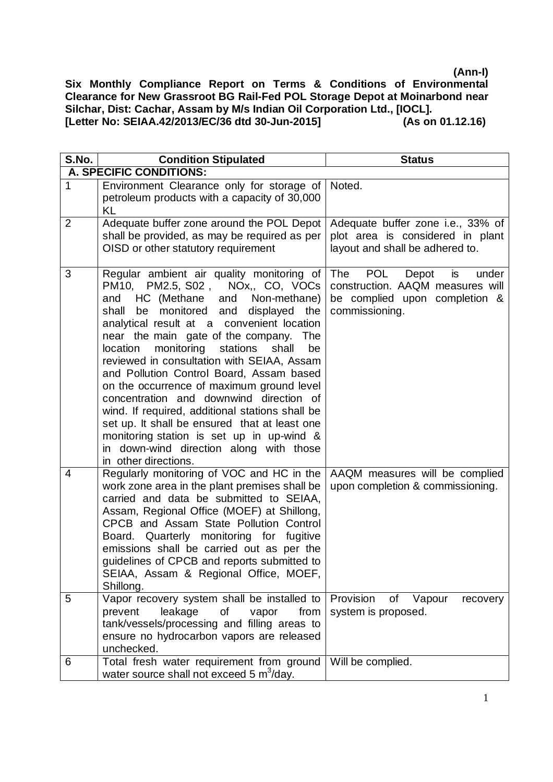| S.No.          | <b>Condition Stipulated</b>                                                                                                                                                                                                                                                                                                                                                                                                                                                                                                                                                                                                                                                                                                                 | <b>Status</b>                                                                                                                      |
|----------------|---------------------------------------------------------------------------------------------------------------------------------------------------------------------------------------------------------------------------------------------------------------------------------------------------------------------------------------------------------------------------------------------------------------------------------------------------------------------------------------------------------------------------------------------------------------------------------------------------------------------------------------------------------------------------------------------------------------------------------------------|------------------------------------------------------------------------------------------------------------------------------------|
|                | A. SPECIFIC CONDITIONS:                                                                                                                                                                                                                                                                                                                                                                                                                                                                                                                                                                                                                                                                                                                     |                                                                                                                                    |
| 1              | Environment Clearance only for storage of<br>petroleum products with a capacity of 30,000<br>KL                                                                                                                                                                                                                                                                                                                                                                                                                                                                                                                                                                                                                                             | Noted.                                                                                                                             |
| $\overline{2}$ | Adequate buffer zone around the POL Depot<br>shall be provided, as may be required as per<br>OISD or other statutory requirement                                                                                                                                                                                                                                                                                                                                                                                                                                                                                                                                                                                                            | Adequate buffer zone i.e., 33% of<br>plot area is considered in plant<br>layout and shall be adhered to.                           |
| 3              | Regular ambient air quality monitoring of<br>PM2.5, S02, NOx,, CO, VOCs<br>PM10,<br>Non-methane)<br>HC (Methane<br>and<br>and<br>be monitored and<br>displayed<br>shall<br>the<br>analytical result at a convenient location<br>near the main gate of the company.<br><b>The</b><br>monitoring<br>stations<br>shall<br>location<br>be<br>reviewed in consultation with SEIAA, Assam<br>and Pollution Control Board, Assam based<br>on the occurrence of maximum ground level<br>concentration and downwind direction of<br>wind. If required, additional stations shall be<br>set up. It shall be ensured that at least one<br>monitoring station is set up in up-wind &<br>in down-wind direction along with those<br>in other directions. | The<br><b>POL</b><br>Depot<br>is<br>under<br>construction. AAQM measures will<br>be complied upon completion &<br>commissioning.   |
| 4<br>5         | Regularly monitoring of VOC and HC in the<br>work zone area in the plant premises shall be<br>carried and data be submitted to SEIAA,<br>Assam, Regional Office (MOEF) at Shillong,<br>CPCB and Assam State Pollution Control<br>Board. Quarterly monitoring for fugitive<br>emissions shall be carried out as per the<br>guidelines of CPCB and reports submitted to<br>SEIAA, Assam & Regional Office, MOEF,<br>Shillong.<br>Vapor recovery system shall be installed to<br>prevent<br>leakage<br>of<br>from<br>vapor<br>tank/vessels/processing and filling areas to<br>ensure no hydrocarbon vapors are released<br>unchecked.                                                                                                          | AAQM measures will be complied<br>upon completion & commissioning.<br>Provision<br>Vapour<br>of<br>recovery<br>system is proposed. |
| 6              | Total fresh water requirement from ground<br>water source shall not exceed 5 m <sup>3</sup> /day.                                                                                                                                                                                                                                                                                                                                                                                                                                                                                                                                                                                                                                           | Will be complied.                                                                                                                  |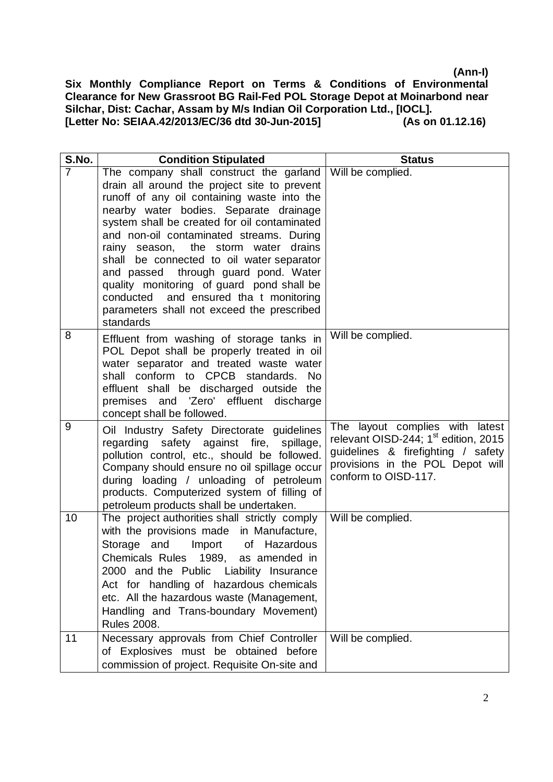| S.No.          | <b>Condition Stipulated</b>                                                                                                                                                                                                                                                                                                                                                                                                                                                                                                                                 | <b>Status</b>                                                                                                                                                                         |
|----------------|-------------------------------------------------------------------------------------------------------------------------------------------------------------------------------------------------------------------------------------------------------------------------------------------------------------------------------------------------------------------------------------------------------------------------------------------------------------------------------------------------------------------------------------------------------------|---------------------------------------------------------------------------------------------------------------------------------------------------------------------------------------|
| $\overline{7}$ | The company shall construct the garland<br>drain all around the project site to prevent<br>runoff of any oil containing waste into the<br>nearby water bodies. Separate drainage<br>system shall be created for oil contaminated<br>and non-oil contaminated streams. During<br>rainy season, the storm water drains<br>shall be connected to oil water separator<br>and passed through guard pond. Water<br>quality monitoring of guard pond shall be<br>conducted and ensured tha t monitoring<br>parameters shall not exceed the prescribed<br>standards | Will be complied.                                                                                                                                                                     |
| 8              | Effluent from washing of storage tanks in<br>POL Depot shall be properly treated in oil<br>water separator and treated waste water<br>shall conform to CPCB standards. No<br>effluent shall be discharged outside the<br>premises and 'Zero' effluent discharge<br>concept shall be followed.                                                                                                                                                                                                                                                               | Will be complied.                                                                                                                                                                     |
| 9              | Oil Industry Safety Directorate guidelines<br>regarding safety against fire,<br>spillage,<br>pollution control, etc., should be followed.<br>Company should ensure no oil spillage occur<br>during loading / unloading of petroleum<br>products. Computerized system of filling of<br>petroleum products shall be undertaken.                                                                                                                                                                                                                               | The layout complies with latest<br>relevant OISD-244; 1 <sup>st</sup> edition, 2015<br>guidelines & firefighting / safety<br>provisions in the POL Depot will<br>conform to OISD-117. |
| 10             | The project authorities shall strictly comply<br>with the provisions made in Manufacture,<br>Import of Hazardous<br>Storage and<br>Chemicals Rules 1989, as amended in<br>2000 and the Public Liability Insurance<br>Act for handling of hazardous chemicals<br>etc. All the hazardous waste (Management,<br>Handling and Trans-boundary Movement)<br><b>Rules 2008.</b>                                                                                                                                                                                    | Will be complied.                                                                                                                                                                     |
| 11             | Necessary approvals from Chief Controller<br>of Explosives must be obtained before<br>commission of project. Requisite On-site and                                                                                                                                                                                                                                                                                                                                                                                                                          | Will be complied.                                                                                                                                                                     |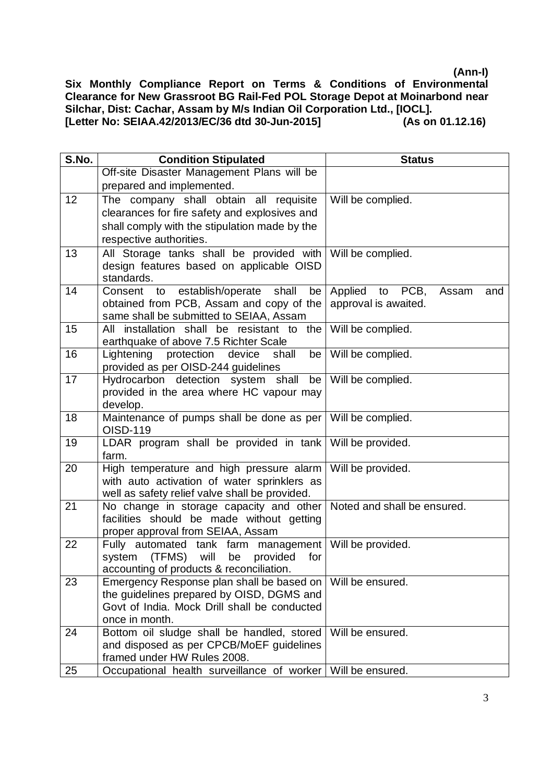| S.No. | <b>Condition Stipulated</b>                                                                             | <b>Status</b>                   |
|-------|---------------------------------------------------------------------------------------------------------|---------------------------------|
|       | Off-site Disaster Management Plans will be                                                              |                                 |
|       | prepared and implemented.                                                                               |                                 |
| 12    | The company shall obtain all requisite                                                                  | Will be complied.               |
|       | clearances for fire safety and explosives and                                                           |                                 |
|       | shall comply with the stipulation made by the                                                           |                                 |
|       | respective authorities.                                                                                 |                                 |
| 13    | All Storage tanks shall be provided with                                                                | Will be complied.               |
|       | design features based on applicable OISD                                                                |                                 |
|       | standards.                                                                                              |                                 |
| 14    | Consent to establish/operate<br>shall<br>be                                                             | Applied to PCB,<br>Assam<br>and |
|       | obtained from PCB, Assam and copy of the                                                                | approval is awaited.            |
|       | same shall be submitted to SEIAA, Assam                                                                 |                                 |
| 15    | All installation shall be resistant to the Will be complied.                                            |                                 |
| 16    | earthquake of above 7.5 Richter Scale<br>protection<br>Lightening<br>device<br>shall<br>be <sub>1</sub> | Will be complied.               |
|       | provided as per OISD-244 guidelines                                                                     |                                 |
| 17    | Hydrocarbon detection system shall<br>be                                                                | Will be complied.               |
|       | provided in the area where HC vapour may                                                                |                                 |
|       | develop.                                                                                                |                                 |
| 18    | Maintenance of pumps shall be done as per                                                               | Will be complied.               |
|       | OISD-119                                                                                                |                                 |
| 19    | LDAR program shall be provided in tank Will be provided.                                                |                                 |
|       | farm.                                                                                                   |                                 |
| 20    | High temperature and high pressure alarm                                                                | Will be provided.               |
|       | with auto activation of water sprinklers as                                                             |                                 |
|       | well as safety relief valve shall be provided.                                                          |                                 |
| 21    | No change in storage capacity and other                                                                 | Noted and shall be ensured.     |
|       | facilities should be made without getting                                                               |                                 |
| 22    | proper approval from SEIAA, Assam<br>Fully automated tank farm management                               | Will be provided.               |
|       | system (TFMS) will<br>be<br>provided<br>for                                                             |                                 |
|       | accounting of products & reconciliation.                                                                |                                 |
| 23    | Emergency Response plan shall be based on                                                               | Will be ensured.                |
|       | the guidelines prepared by OISD, DGMS and                                                               |                                 |
|       | Govt of India. Mock Drill shall be conducted                                                            |                                 |
|       | once in month.                                                                                          |                                 |
| 24    | Bottom oil sludge shall be handled, stored                                                              | Will be ensured.                |
|       | and disposed as per CPCB/MoEF guidelines                                                                |                                 |
|       | framed under HW Rules 2008.                                                                             |                                 |
| 25    | Occupational health surveillance of worker                                                              | Will be ensured.                |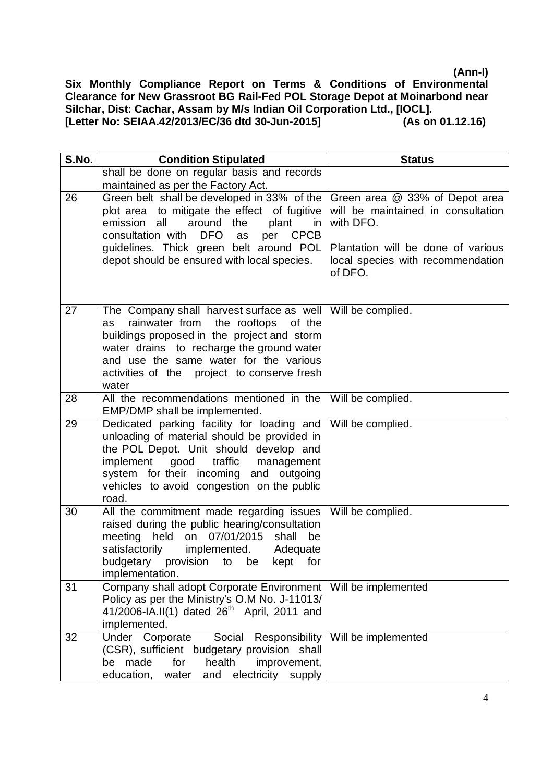| S.No. | <b>Condition Stipulated</b>                                                                                                                                                                                                                                                                   | <b>Status</b>                                                                                                                                                           |
|-------|-----------------------------------------------------------------------------------------------------------------------------------------------------------------------------------------------------------------------------------------------------------------------------------------------|-------------------------------------------------------------------------------------------------------------------------------------------------------------------------|
|       | shall be done on regular basis and records                                                                                                                                                                                                                                                    |                                                                                                                                                                         |
|       | maintained as per the Factory Act.                                                                                                                                                                                                                                                            |                                                                                                                                                                         |
| 26    | Green belt shall be developed in 33% of the<br>plot area to mitigate the effect of fugitive<br>emission<br>all<br>around<br>the<br>plant<br>in<br>consultation with DFO<br><b>CPCB</b><br>per<br>as<br>guidelines. Thick green belt around POL<br>depot should be ensured with local species. | Green area @ 33% of Depot area<br>will be maintained in consultation<br>with DFO.<br>Plantation will be done of various<br>local species with recommendation<br>of DFO. |
| 27    | The Company shall harvest surface as well<br>rainwater from<br>the rooftops of the<br>as<br>buildings proposed in the project and storm<br>water drains to recharge the ground water<br>and use the same water for the various<br>activities of the project to conserve fresh<br>water        | Will be complied.                                                                                                                                                       |
| 28    | All the recommendations mentioned in the<br>EMP/DMP shall be implemented.                                                                                                                                                                                                                     | Will be complied.                                                                                                                                                       |
| 29    | Dedicated parking facility for loading and<br>unloading of material should be provided in<br>the POL Depot. Unit should develop and<br>implement<br>good<br>traffic<br>management<br>system for their incoming and outgoing<br>vehicles to avoid congestion on the public<br>road.            | Will be complied.                                                                                                                                                       |
| 30    | All the commitment made regarding issues<br>raised during the public hearing/consultation<br>meeting held on 07/01/2015<br>shall<br>be<br>satisfactorily<br>implemented.<br>Adequate<br>budgetary<br>provision<br>to<br>be<br>kept<br>for<br>implementation.                                  | Will be complied.                                                                                                                                                       |
| 31    | Company shall adopt Corporate Environment<br>Policy as per the Ministry's O.M No. J-11013/<br>41/2006-IA.II(1) dated $26^{th}$ April, 2011 and<br>implemented.                                                                                                                                | Will be implemented                                                                                                                                                     |
| 32    | Under Corporate<br>Social Responsibility<br>(CSR), sufficient budgetary provision shall<br>health<br>be made<br>for<br>improvement,<br>education,<br>and electricity supply<br>water                                                                                                          | Will be implemented                                                                                                                                                     |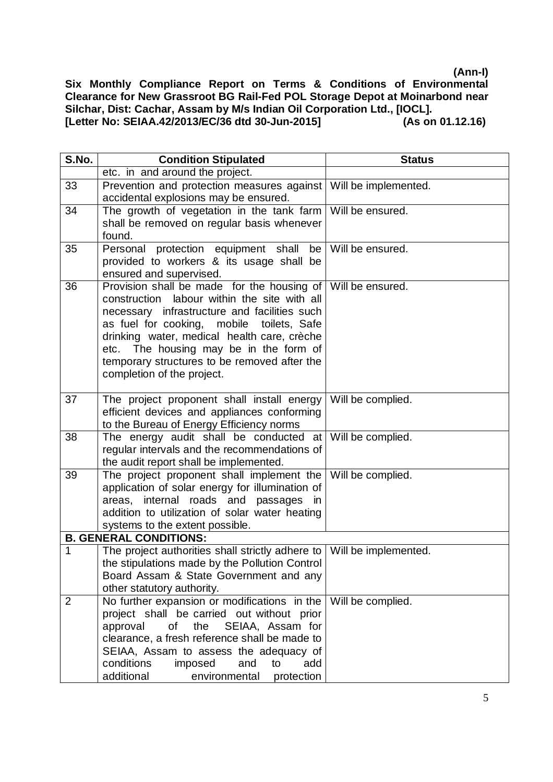| S.No.          | <b>Condition Stipulated</b>                                                                                                                                                                                                                                                                                                                                    | <b>Status</b>        |
|----------------|----------------------------------------------------------------------------------------------------------------------------------------------------------------------------------------------------------------------------------------------------------------------------------------------------------------------------------------------------------------|----------------------|
|                | etc. in and around the project.                                                                                                                                                                                                                                                                                                                                |                      |
| 33             | Prevention and protection measures against   Will be implemented.<br>accidental explosions may be ensured.                                                                                                                                                                                                                                                     |                      |
| 34             | The growth of vegetation in the tank farm<br>shall be removed on regular basis whenever<br>found.                                                                                                                                                                                                                                                              | Will be ensured.     |
| 35             | Personal protection equipment shall<br>be<br>provided to workers & its usage shall be<br>ensured and supervised.                                                                                                                                                                                                                                               | Will be ensured.     |
| 36             | Provision shall be made for the housing of<br>construction labour within the site with all<br>necessary infrastructure and facilities such<br>as fuel for cooking, mobile toilets, Safe<br>drinking water, medical health care, crèche<br>etc. The housing may be in the form of<br>temporary structures to be removed after the<br>completion of the project. | Will be ensured.     |
| 37             | The project proponent shall install energy<br>efficient devices and appliances conforming<br>to the Bureau of Energy Efficiency norms                                                                                                                                                                                                                          | Will be complied.    |
| 38             | The energy audit shall be conducted at<br>regular intervals and the recommendations of<br>the audit report shall be implemented.                                                                                                                                                                                                                               | Will be complied.    |
| 39             | The project proponent shall implement the<br>application of solar energy for illumination of<br>areas, internal roads and passages<br>in<br>addition to utilization of solar water heating<br>systems to the extent possible.                                                                                                                                  | Will be complied.    |
|                | <b>B. GENERAL CONDITIONS:</b>                                                                                                                                                                                                                                                                                                                                  |                      |
| $\mathbf{1}$   | The project authorities shall strictly adhere to<br>the stipulations made by the Pollution Control<br>Board Assam & State Government and any<br>other statutory authority.                                                                                                                                                                                     | Will be implemented. |
| $\overline{2}$ | No further expansion or modifications in the<br>project shall be carried out without prior<br>the<br>SEIAA, Assam for<br>approval<br>οf<br>clearance, a fresh reference shall be made to<br>SEIAA, Assam to assess the adequacy of<br>conditions<br>imposed<br>and<br>to<br>add<br>additional<br>environmental<br>protection                                   | Will be complied.    |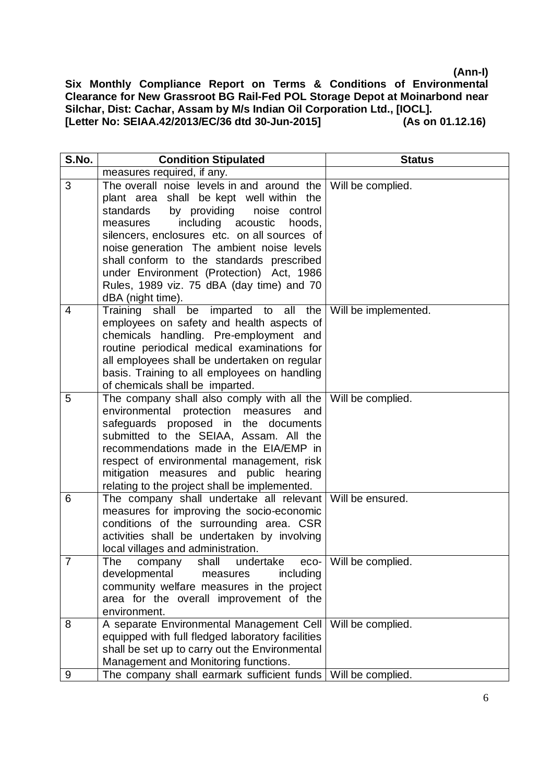| S.No.          | <b>Condition Stipulated</b>                                                                                                                                                                                                                                                                                                                                                                                                              | <b>Status</b>            |
|----------------|------------------------------------------------------------------------------------------------------------------------------------------------------------------------------------------------------------------------------------------------------------------------------------------------------------------------------------------------------------------------------------------------------------------------------------------|--------------------------|
|                | measures required, if any.                                                                                                                                                                                                                                                                                                                                                                                                               |                          |
| 3              | The overall noise levels in and around the<br>plant area shall be kept well within the<br>standards<br>by providing<br>noise control<br>including acoustic<br>hoods.<br>measures<br>silencers, enclosures etc. on all sources of<br>noise generation The ambient noise levels<br>shall conform to the standards prescribed<br>under Environment (Protection) Act, 1986<br>Rules, 1989 viz. 75 dBA (day time) and 70<br>dBA (night time). | Will be complied.        |
| $\overline{4}$ | Training shall be imparted to all the<br>employees on safety and health aspects of<br>chemicals handling. Pre-employment and<br>routine periodical medical examinations for<br>all employees shall be undertaken on regular<br>basis. Training to all employees on handling<br>of chemicals shall be imparted.                                                                                                                           | Will be implemented.     |
| 5              | The company shall also comply with all the Will be complied.<br>environmental protection measures<br>and<br>safeguards proposed in the documents<br>submitted to the SEIAA, Assam. All the<br>recommendations made in the EIA/EMP in<br>respect of environmental management, risk<br>mitigation measures and public hearing<br>relating to the project shall be implemented.                                                             |                          |
| 6              | The company shall undertake all relevant Will be ensured.<br>measures for improving the socio-economic<br>conditions of the surrounding area. CSR<br>activities shall be undertaken by involving<br>local villages and administration.                                                                                                                                                                                                   |                          |
| $\overline{7}$ | company shall<br>The<br>undertake<br>developmental<br>including<br>measures<br>community welfare measures in the project<br>area for the overall improvement of the<br>environment.                                                                                                                                                                                                                                                      | eco-   Will be complied. |
| 8              | A separate Environmental Management Cell<br>equipped with full fledged laboratory facilities<br>shall be set up to carry out the Environmental<br>Management and Monitoring functions.                                                                                                                                                                                                                                                   | Will be complied.        |
| 9              | The company shall earmark sufficient funds                                                                                                                                                                                                                                                                                                                                                                                               | Will be complied.        |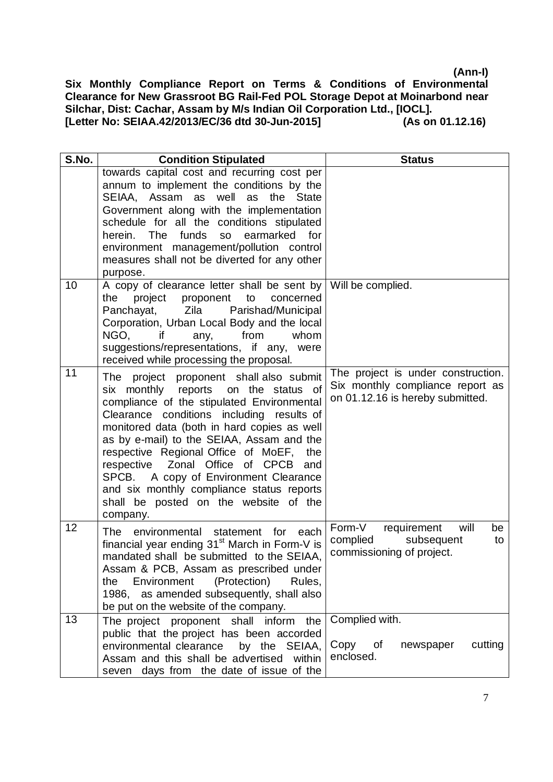| S.No. | <b>Condition Stipulated</b>                                                                                                                                                                                                                                                                                                                                                                                                                                                                                     | <b>Status</b>                                                                                              |
|-------|-----------------------------------------------------------------------------------------------------------------------------------------------------------------------------------------------------------------------------------------------------------------------------------------------------------------------------------------------------------------------------------------------------------------------------------------------------------------------------------------------------------------|------------------------------------------------------------------------------------------------------------|
|       | towards capital cost and recurring cost per<br>annum to implement the conditions by the<br>well as<br>SEIAA, Assam as<br>the State<br>Government along with the implementation<br>schedule for all the conditions stipulated<br>herein. The<br>funds<br><b>SO</b><br>earmarked<br>for<br>environment management/pollution control<br>measures shall not be diverted for any other<br>purpose.                                                                                                                   |                                                                                                            |
| 10    | A copy of clearance letter shall be sent by<br>project<br>proponent<br>the<br>to<br>concerned<br>Panchayat, Zila<br>Parishad/Municipal<br>Corporation, Urban Local Body and the local<br>from<br>whom<br>NGO,<br>if.<br>any,<br>suggestions/representations, if any, were<br>received while processing the proposal.                                                                                                                                                                                            | Will be complied.                                                                                          |
| 11    | The project proponent shall also submit<br>six monthly reports on the status of<br>compliance of the stipulated Environmental<br>Clearance conditions including results of<br>monitored data (both in hard copies as well<br>as by e-mail) to the SEIAA, Assam and the<br>respective Regional Office of MoEF,<br>the<br>Zonal Office of CPCB<br>respective<br>and<br>A copy of Environment Clearance<br>SPCB.<br>and six monthly compliance status reports<br>shall be posted on the website of the<br>company. | The project is under construction.<br>Six monthly compliance report as<br>on 01.12.16 is hereby submitted. |
| 12    | The environmental statement<br>for<br>each<br>financial year ending 31 <sup>st</sup> March in Form-V is<br>mandated shall be submitted to the SEIAA,<br>Assam & PCB, Assam as prescribed under<br>Environment<br>(Protection)<br>the<br>Rules,<br>1986, as amended subsequently, shall also<br>be put on the website of the company.                                                                                                                                                                            | Form-V<br>requirement<br>will<br>be<br>complied<br>subsequent<br>to<br>commissioning of project.           |
| 13    | the<br>The project proponent shall inform<br>public that the project has been accorded<br>environmental clearance<br>by the SEIAA,<br>Assam and this shall be advertised<br>within<br>days from the date of issue of the<br>seven                                                                                                                                                                                                                                                                               | Complied with.<br>cutting<br>Copy of<br>newspaper<br>enclosed.                                             |